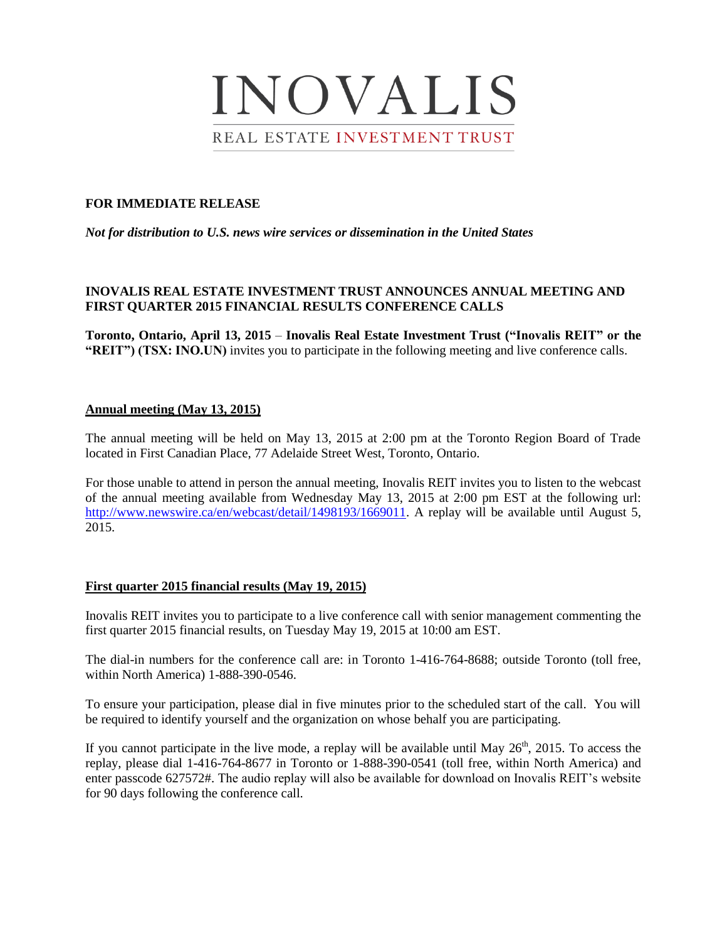# INOVALIS REAL ESTATE INVESTMENT TRUST

## **FOR IMMEDIATE RELEASE**

*Not for distribution to U.S. news wire services or dissemination in the United States*

# **INOVALIS REAL ESTATE INVESTMENT TRUST ANNOUNCES ANNUAL MEETING AND FIRST QUARTER 2015 FINANCIAL RESULTS CONFERENCE CALLS**

**Toronto, Ontario, April 13, 2015** – **Inovalis Real Estate Investment Trust ("Inovalis REIT" or the "REIT") (TSX: INO.UN)** invites you to participate in the following meeting and live conference calls.

### **Annual meeting (May 13, 2015)**

The annual meeting will be held on May 13, 2015 at 2:00 pm at the Toronto Region Board of Trade located in First Canadian Place, 77 Adelaide Street West, Toronto, Ontario.

For those unable to attend in person the annual meeting, Inovalis REIT invites you to listen to the webcast of the annual meeting available from Wednesday May 13, 2015 at 2:00 pm EST at the following url: http://www.newswire.ca/en/webcast/detail/1498193/1669011. A replay will be available until August 5, 2015.

#### **First quarter 2015 financial results (May 19, 2015)**

Inovalis REIT invites you to participate to a live conference call with senior management commenting the first quarter 2015 financial results, on Tuesday May 19, 2015 at 10:00 am EST.

The dial-in numbers for the conference call are: in Toronto 1-416-764-8688; outside Toronto (toll free, within North America) 1-888-390-0546.

To ensure your participation, please dial in five minutes prior to the scheduled start of the call. You will be required to identify yourself and the organization on whose behalf you are participating.

If you cannot participate in the live mode, a replay will be available until May  $26<sup>th</sup>$ , 2015. To access the replay, please dial 1-416-764-8677 in Toronto or 1-888-390-0541 (toll free, within North America) and enter passcode 627572#. The audio replay will also be available for download on Inovalis REIT's website for 90 days following the conference call.